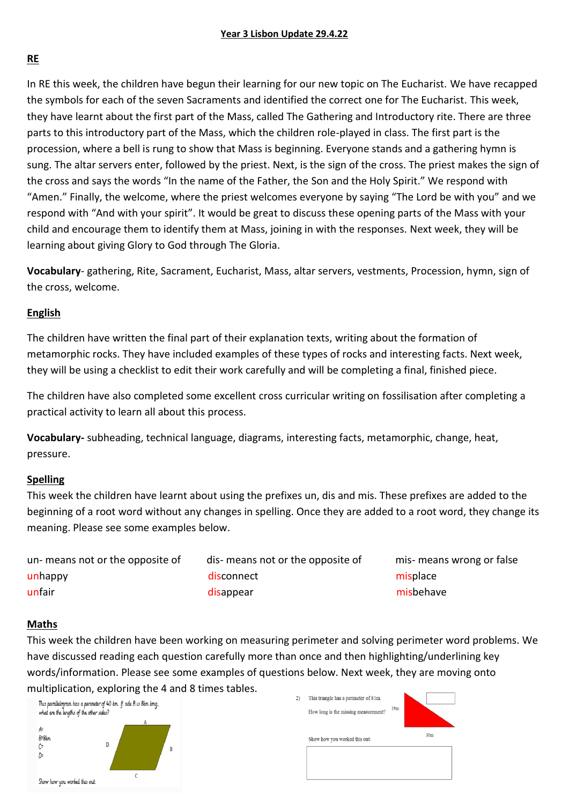# **RE**

In RE this week, the children have begun their learning for our new topic on The Eucharist. We have recapped the symbols for each of the seven Sacraments and identified the correct one for The Eucharist. This week, they have learnt about the first part of the Mass, called The Gathering and Introductory rite. There are three parts to this introductory part of the Mass, which the children role-played in class. The first part is the procession, where a bell is rung to show that Mass is beginning. Everyone stands and a gathering hymn is sung. The altar servers enter, followed by the priest. Next, is the sign of the cross. The priest makes the sign of the cross and says the words "In the name of the Father, the Son and the Holy Spirit." We respond with "Amen." Finally, the welcome, where the priest welcomes everyone by saying "The Lord be with you" and we respond with "And with your spirit". It would be great to discuss these opening parts of the Mass with your child and encourage them to identify them at Mass, joining in with the responses. Next week, they will be learning about giving Glory to God through The Gloria.

**Vocabulary**- gathering, Rite, Sacrament, Eucharist, Mass, altar servers, vestments, Procession, hymn, sign of the cross, welcome.

# **English**

The children have written the final part of their explanation texts, writing about the formation of metamorphic rocks. They have included examples of these types of rocks and interesting facts. Next week, they will be using a checklist to edit their work carefully and will be completing a final, finished piece.

The children have also completed some excellent cross curricular writing on fossilisation after completing a practical activity to learn all about this process.

**Vocabulary-** subheading, technical language, diagrams, interesting facts, metamorphic, change, heat, pressure.

# **Spelling**

This week the children have learnt about using the prefixes un, dis and mis. These prefixes are added to the beginning of a root word without any changes in spelling. Once they are added to a root word, they change its meaning. Please see some examples below.

un- means not or the opposite of dis- means not or the opposite of mis- means wrong or false unhappy and a state of the disconnect control of the misplace misplace unfair and a state of the disappear and a state of the misbehave misbehave

# **Maths**

This week the children have been working on measuring perimeter and solving perimeter word problems. We have discussed reading each question carefully more than once and then highlighting/underlining key words/information. Please see some examples of questions below. Next week, they are moving onto multiplication, exploring the 4 and 8 times tables.

This parallelogram has a perimeter of 40 km. If side B is 8km long,